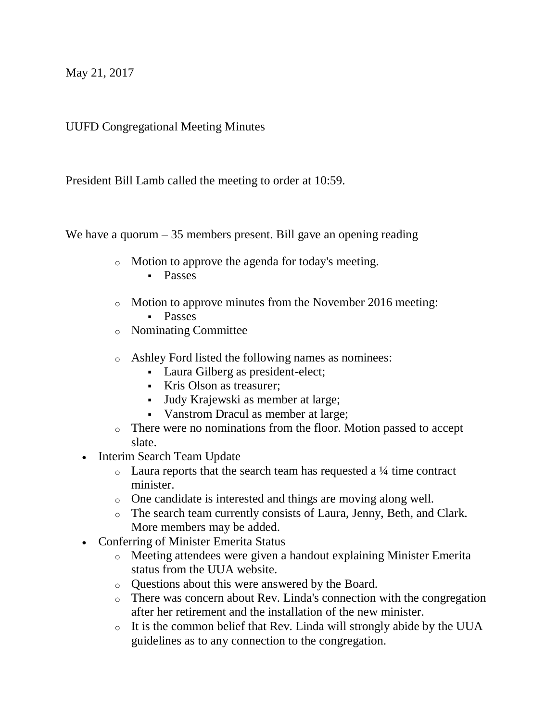May 21, 2017

UUFD Congregational Meeting Minutes

President Bill Lamb called the meeting to order at 10:59.

We have a quorum  $-35$  members present. Bill gave an opening reading

- o Motion to approve the agenda for today's meeting.
	- **Passes**
- o Motion to approve minutes from the November 2016 meeting: **Passes**
- o Nominating Committee
- o Ashley Ford listed the following names as nominees:
	- Laura Gilberg as president-elect;
	- Kris Olson as treasurer;
	- Judy Krajewski as member at large;
	- Vanstrom Dracul as member at large;
- o There were no nominations from the floor. Motion passed to accept slate.
- Interim Search Team Update
	- $\circ$  Laura reports that the search team has requested a  $\frac{1}{4}$  time contract minister.
	- o One candidate is interested and things are moving along well.
	- o The search team currently consists of Laura, Jenny, Beth, and Clark. More members may be added.
- Conferring of Minister Emerita Status
	- o Meeting attendees were given a handout explaining Minister Emerita status from the UUA website.
	- o Questions about this were answered by the Board.
	- o There was concern about Rev. Linda's connection with the congregation after her retirement and the installation of the new minister.
	- o It is the common belief that Rev. Linda will strongly abide by the UUA guidelines as to any connection to the congregation.